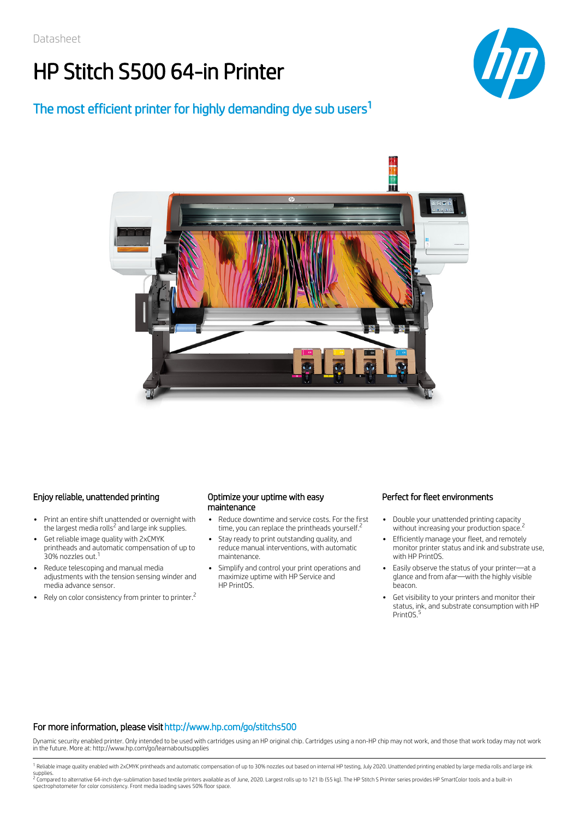# HP Stitch S500 64-in Printer



### The most efficient printer for highly demanding dye sub users<sup>1</sup>



### Enjoy reliable, unattended printing **Optimize your uptime with easy**

- Print an entire shift unattended or overnight with  $\bullet$ the largest media rolls<sup>2</sup> and large ink supplies.
- Get reliable image quality with 2xCMYK printheads and automatic compensation of up to 30% nozzles out.<sup>1</sup>
- Reduce telescoping and manual media adjustments with the tension sensing winder and media advance sensor.
- Rely on color consistency from printer to printer.<sup>2</sup>

## maintenance

- Reduce downtime and service costs. For the first time, you can replace the printheads yourself.<sup>2</sup>
- Stay ready to print outstanding quality, and reduce manual interventions, with automatic maintenance.
- Simplify and control your print operations and maximize uptime with HP Service and HP PrintOS.

#### Perfect for fleet environments

- $\Delta$ Double your unattended printing capacity without increasing your production space.<sup>2</sup>
- Efficiently manage your fleet, and remotely monitor printer status and ink and substrate use, with HP PrintOS.
- Easily observe the status of your printer—at a glance and from afar—with the highly visible beacon.
- Get visibility to your printers and monitor their status, ink, and substrate consumption with HP PrintOS.<sup>5</sup>

#### For more information, please visit http://www.hp.com/go/stitchs500

Dynamic security enabled printer. Only intended to be used with cartridges using an HP original chip. Cartridges using a non-HP chip may not work, and those that work today may not work in the future. More at: http://www.hp.com/go/learnaboutsupplies

<sup>1</sup> Reliable image quality enabled with 2xCMYK printheads and automatic compensation of up to 30% nozzles out based on internal HP testing, July 2020. Unattended printing enabled by large media rolls and large ink

supplies.<br><sup>2</sup> Compared to alternative 64-inch dye-sublimation based textile printers available as of June, 2020. Largest rolls up to 121 lb (55 kg). The HP Stitch S Printer series provides HP SmartColor tools and a built-i spectrophotometer for color consistency. Front media loading saves 50% floor space.